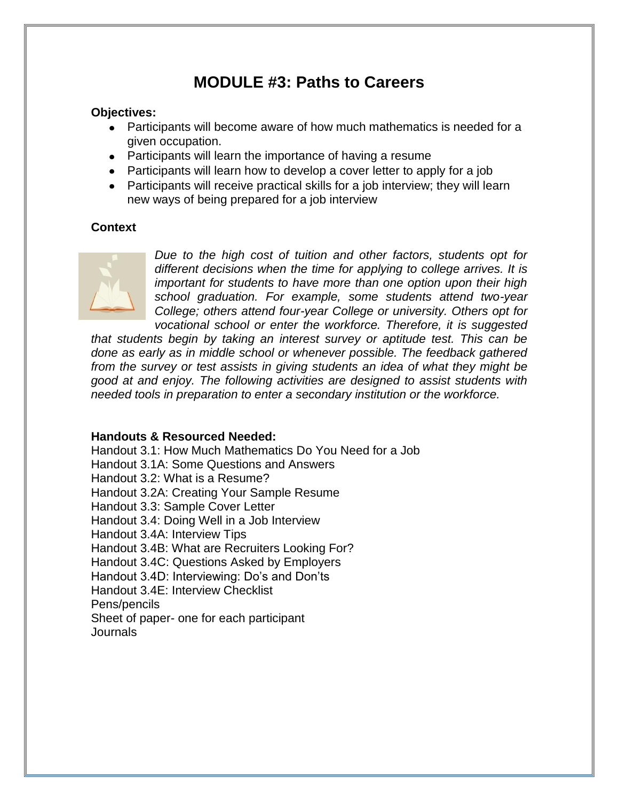# **MODULE #3: Paths to Careers**

### **Objectives:**

- Participants will become aware of how much mathematics is needed for a given occupation.
- Participants will learn the importance of having a resume
- Participants will learn how to develop a cover letter to apply for a job
- Participants will receive practical skills for a job interview; they will learn new ways of being prepared for a job interview

### **Context**



*Due to the high cost of tuition and other factors, students opt for different decisions when the time for applying to college arrives. It is important for students to have more than one option upon their high school graduation. For example, some students attend two-year College; others attend four-year College or university. Others opt for vocational school or enter the workforce. Therefore, it is suggested* 

*that students begin by taking an interest survey or aptitude test. This can be done as early as in middle school or whenever possible. The feedback gathered from the survey or test assists in giving students an idea of what they might be good at and enjoy. The following activities are designed to assist students with needed tools in preparation to enter a secondary institution or the workforce.* 

### **Handouts & Resourced Needed:**

Handout 3.1: How Much Mathematics Do You Need for a Job Handout 3.1A: Some Questions and Answers Handout 3.2: What is a Resume? Handout 3.2A: Creating Your Sample Resume Handout 3.3: Sample Cover Letter Handout 3.4: Doing Well in a Job Interview Handout 3.4A: Interview Tips Handout 3.4B: What are Recruiters Looking For? Handout 3.4C: Questions Asked by Employers Handout 3.4D: Interviewing: Do's and Don'ts Handout 3.4E: Interview Checklist Pens/pencils Sheet of paper- one for each participant Journals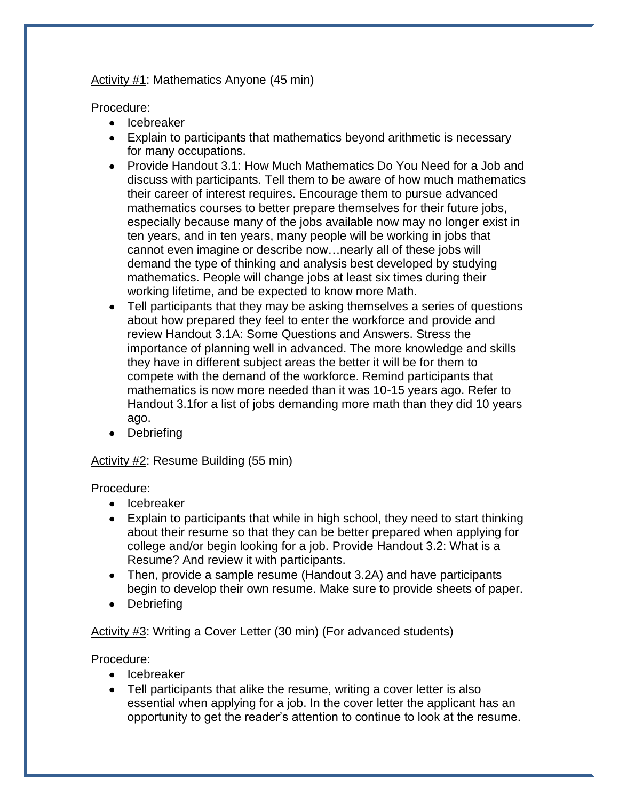### Activity #1: Mathematics Anyone (45 min)

Procedure:

- Icebreaker
- Explain to participants that mathematics beyond arithmetic is necessary for many occupations.
- Provide Handout 3.1: How Much Mathematics Do You Need for a Job and discuss with participants. Tell them to be aware of how much mathematics their career of interest requires. Encourage them to pursue advanced mathematics courses to better prepare themselves for their future jobs, especially because many of the jobs available now may no longer exist in ten years, and in ten years, many people will be working in jobs that cannot even imagine or describe now…nearly all of these jobs will demand the type of thinking and analysis best developed by studying mathematics. People will change jobs at least six times during their working lifetime, and be expected to know more Math.
- Tell participants that they may be asking themselves a series of questions about how prepared they feel to enter the workforce and provide and review Handout 3.1A: Some Questions and Answers. Stress the importance of planning well in advanced. The more knowledge and skills they have in different subject areas the better it will be for them to compete with the demand of the workforce. Remind participants that mathematics is now more needed than it was 10-15 years ago. Refer to Handout 3.1for a list of jobs demanding more math than they did 10 years ago.
- Debriefing

### Activity #2: Resume Building (55 min)

Procedure:

- Icebreaker
- Explain to participants that while in high school, they need to start thinking about their resume so that they can be better prepared when applying for college and/or begin looking for a job. Provide Handout 3.2: What is a Resume? And review it with participants.
- Then, provide a sample resume (Handout 3.2A) and have participants begin to develop their own resume. Make sure to provide sheets of paper.
- Debriefing

Activity #3: Writing a Cover Letter (30 min) (For advanced students)

Procedure:

- Icebreaker
- Tell participants that alike the resume, writing a cover letter is also essential when applying for a job. In the cover letter the applicant has an opportunity to get the reader's attention to continue to look at the resume.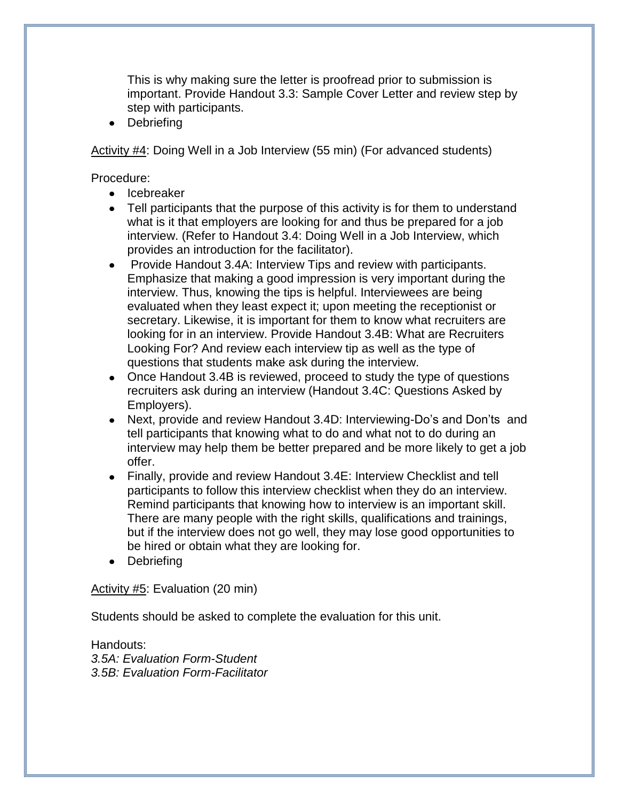This is why making sure the letter is proofread prior to submission is important. Provide Handout 3.3: Sample Cover Letter and review step by step with participants.

• Debriefing

Activity #4: Doing Well in a Job Interview (55 min) (For advanced students)

Procedure:

- Icebreaker
- Tell participants that the purpose of this activity is for them to understand what is it that employers are looking for and thus be prepared for a job interview. (Refer to Handout 3.4: Doing Well in a Job Interview, which provides an introduction for the facilitator).
- Provide Handout 3.4A: Interview Tips and review with participants. Emphasize that making a good impression is very important during the interview. Thus, knowing the tips is helpful. Interviewees are being evaluated when they least expect it; upon meeting the receptionist or secretary. Likewise, it is important for them to know what recruiters are looking for in an interview. Provide Handout 3.4B: What are Recruiters Looking For? And review each interview tip as well as the type of questions that students make ask during the interview.
- Once Handout 3.4B is reviewed, proceed to study the type of questions recruiters ask during an interview (Handout 3.4C: Questions Asked by Employers).
- Next, provide and review Handout 3.4D: Interviewing-Do's and Don'ts and tell participants that knowing what to do and what not to do during an interview may help them be better prepared and be more likely to get a job offer.
- Finally, provide and review Handout 3.4E: Interview Checklist and tell participants to follow this interview checklist when they do an interview. Remind participants that knowing how to interview is an important skill. There are many people with the right skills, qualifications and trainings, but if the interview does not go well, they may lose good opportunities to be hired or obtain what they are looking for.
- Debriefing

### Activity #5: Evaluation (20 min)

Students should be asked to complete the evaluation for this unit.

Handouts: *3.5A: Evaluation Form-Student 3.5B: Evaluation Form-Facilitator*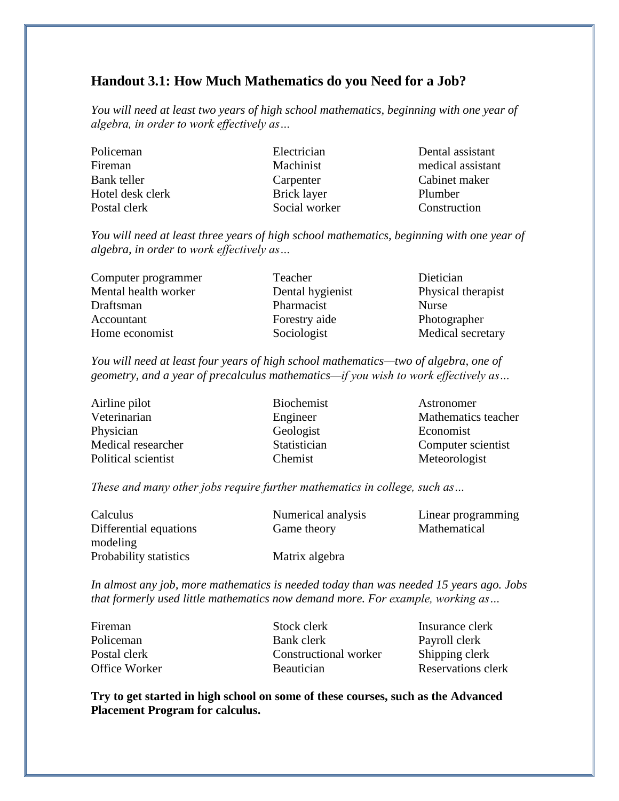### **Handout 3.1: How Much Mathematics do you Need for a Job?**

*You will need at least two years of high school mathematics, beginning with one year of algebra, in order to work effectively as…*

| Policeman        | Electrician   | Dental assistant  |
|------------------|---------------|-------------------|
| Fireman          | Machinist     | medical assistant |
| Bank teller      | Carpenter     | Cabinet maker     |
| Hotel desk clerk | Brick layer   | Plumber           |
| Postal clerk     | Social worker | Construction      |

*You will need at least three years of high school mathematics, beginning with one year of algebra, in order to work effectively as…*

| Computer programmer  | Teacher          | Dietician          |
|----------------------|------------------|--------------------|
| Mental health worker | Dental hygienist | Physical therapist |
| Draftsman            | Pharmacist       | <b>Nurse</b>       |
| Accountant           | Forestry aide    | Photographer       |
| Home economist       | Sociologist      | Medical secretary  |

*You will need at least four years of high school mathematics—two of algebra, one of geometry, and a year of precalculus mathematics—if you wish to work effectively as…*

| Airline pilot       | <b>Biochemist</b> | Astronomer          |
|---------------------|-------------------|---------------------|
| Veterinarian        | Engineer          | Mathematics teacher |
| Physician           | Geologist         | Economist           |
| Medical researcher  | Statistician      | Computer scientist  |
| Political scientist | Chemist           | Meteorologist       |

*These and many other jobs require further mathematics in college, such as…*

| Calculus               | Numerical analysis | Linear programming |
|------------------------|--------------------|--------------------|
| Differential equations | Game theory        | Mathematical       |
| modeling               |                    |                    |
| Probability statistics | Matrix algebra     |                    |

*In almost any job, more mathematics is needed today than was needed 15 years ago. Jobs that formerly used little mathematics now demand more. For example, working as…*

| Fireman       | Stock clerk           | Insurance clerk    |
|---------------|-----------------------|--------------------|
| Policeman     | Bank clerk            | Payroll clerk      |
| Postal clerk  | Constructional worker | Shipping clerk     |
| Office Worker | <b>Beautician</b>     | Reservations clerk |

**Try to get started in high school on some of these courses, such as the Advanced Placement Program for calculus.**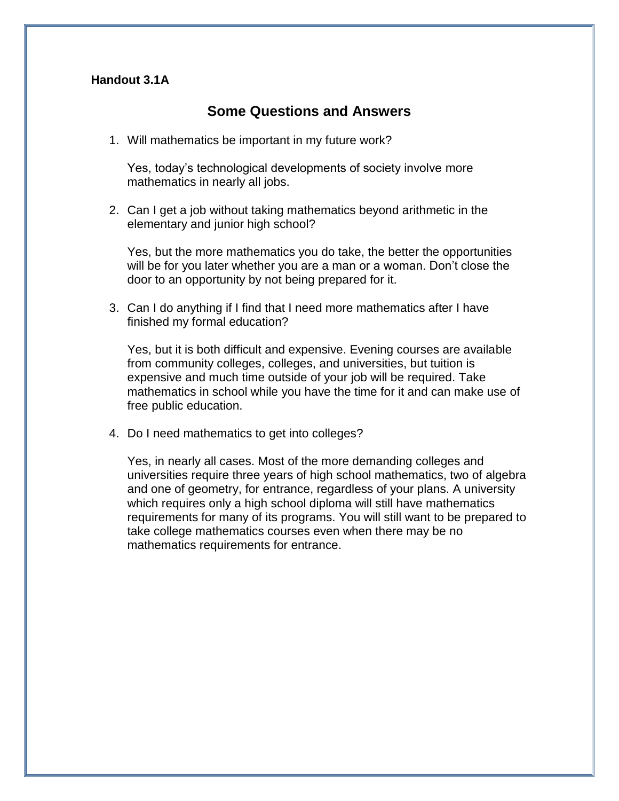### **Handout 3.1A**

### **Some Questions and Answers**

1. Will mathematics be important in my future work?

Yes, today's technological developments of society involve more mathematics in nearly all jobs.

2. Can I get a job without taking mathematics beyond arithmetic in the elementary and junior high school?

Yes, but the more mathematics you do take, the better the opportunities will be for you later whether you are a man or a woman. Don't close the door to an opportunity by not being prepared for it.

3. Can I do anything if I find that I need more mathematics after I have finished my formal education?

Yes, but it is both difficult and expensive. Evening courses are available from community colleges, colleges, and universities, but tuition is expensive and much time outside of your job will be required. Take mathematics in school while you have the time for it and can make use of free public education.

4. Do I need mathematics to get into colleges?

Yes, in nearly all cases. Most of the more demanding colleges and universities require three years of high school mathematics, two of algebra and one of geometry, for entrance, regardless of your plans. A university which requires only a high school diploma will still have mathematics requirements for many of its programs. You will still want to be prepared to take college mathematics courses even when there may be no mathematics requirements for entrance.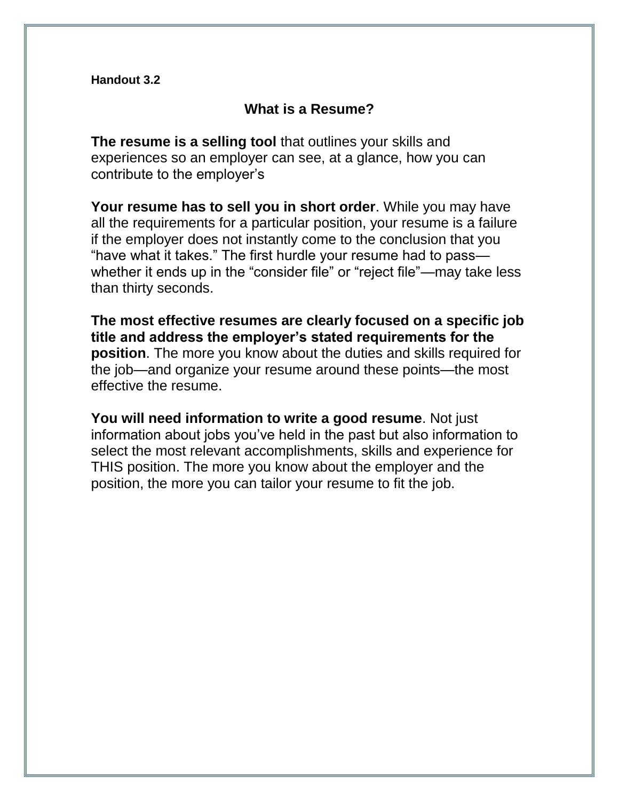**Handout 3.2**

### **What is a Resume?**

**The resume is a selling tool** that outlines your skills and experiences so an employer can see, at a glance, how you can contribute to the employer's

**Your resume has to sell you in short order**. While you may have all the requirements for a particular position, your resume is a failure if the employer does not instantly come to the conclusion that you "have what it takes." The first hurdle your resume had to pass whether it ends up in the "consider file" or "reject file"—may take less than thirty seconds.

**The most effective resumes are clearly focused on a specific job title and address the employer's stated requirements for the position**. The more you know about the duties and skills required for the job—and organize your resume around these points—the most effective the resume.

**You will need information to write a good resume**. Not just information about jobs you've held in the past but also information to select the most relevant accomplishments, skills and experience for THIS position. The more you know about the employer and the position, the more you can tailor your resume to fit the job.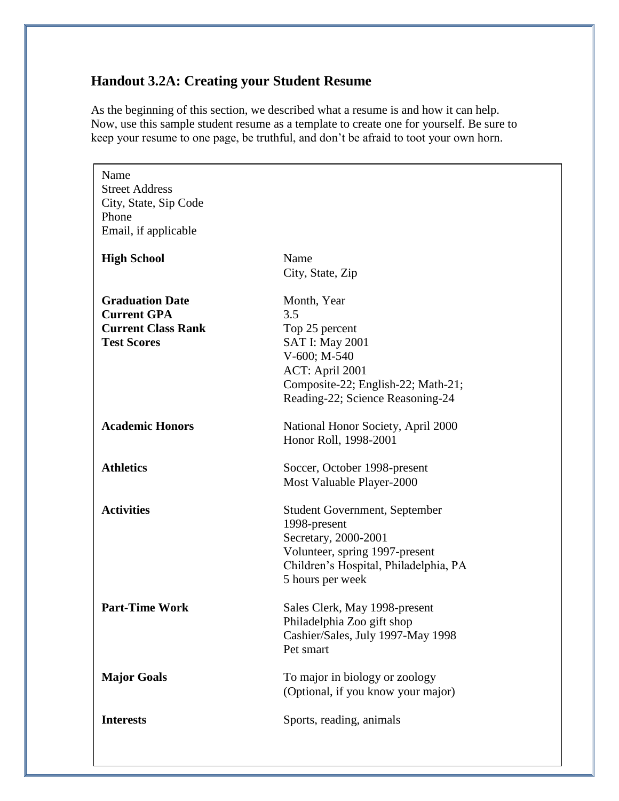# **Handout 3.2A: Creating your Student Resume**

As the beginning of this section, we described what a resume is and how it can help. Now, use this sample student resume as a template to create one for yourself. Be sure to keep your resume to one page, be truthful, and don't be afraid to toot your own horn.

| Name<br><b>Street Address</b><br>City, State, Sip Code<br>Phone<br>Email, if applicable         |                                                                                                                                                                             |
|-------------------------------------------------------------------------------------------------|-----------------------------------------------------------------------------------------------------------------------------------------------------------------------------|
| <b>High School</b>                                                                              | Name<br>City, State, Zip                                                                                                                                                    |
| <b>Graduation Date</b><br><b>Current GPA</b><br><b>Current Class Rank</b><br><b>Test Scores</b> | Month, Year<br>3.5<br>Top 25 percent<br><b>SAT I: May 2001</b><br>V-600; M-540<br>ACT: April 2001<br>Composite-22; English-22; Math-21;<br>Reading-22; Science Reasoning-24 |
| <b>Academic Honors</b>                                                                          | National Honor Society, April 2000<br>Honor Roll, 1998-2001                                                                                                                 |
| <b>Athletics</b>                                                                                | Soccer, October 1998-present<br>Most Valuable Player-2000                                                                                                                   |
| <b>Activities</b>                                                                               | Student Government, September<br>1998-present<br>Secretary, 2000-2001<br>Volunteer, spring 1997-present<br>Children's Hospital, Philadelphia, PA<br>5 hours per week        |
| <b>Part-Time Work</b>                                                                           | Sales Clerk, May 1998-present<br>Philadelphia Zoo gift shop<br>Cashier/Sales, July 1997-May 1998<br>Pet smart                                                               |
| <b>Major Goals</b>                                                                              | To major in biology or zoology<br>(Optional, if you know your major)                                                                                                        |
| <b>Interests</b>                                                                                | Sports, reading, animals                                                                                                                                                    |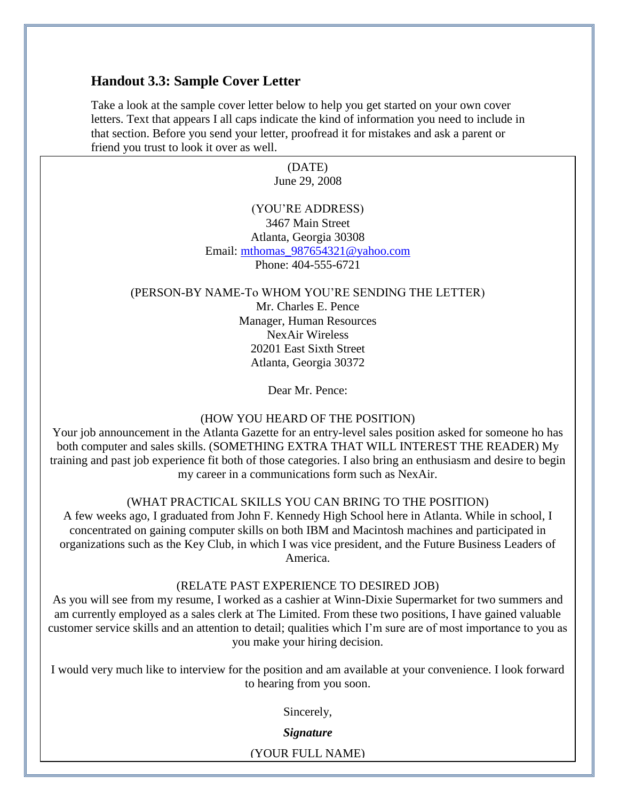### **Handout 3.3: Sample Cover Letter**

Take a look at the sample cover letter below to help you get started on your own cover letters. Text that appears I all caps indicate the kind of information you need to include in that section. Before you send your letter, proofread it for mistakes and ask a parent or friend you trust to look it over as well.

> (DATE) June 29, 2008

### (YOU'RE ADDRESS) 3467 Main Street Atlanta, Georgia 30308 Email: [mthomas\\_987654321@yahoo.com](mailto:mthomas_987654321@yahoo.com) Phone: 404-555-6721

#### (PERSON-BY NAME-To WHOM YOU'RE SENDING THE LETTER)

Mr. Charles E. Pence Manager, Human Resources NexAir Wireless 20201 East Sixth Street Atlanta, Georgia 30372

Dear Mr. Pence:

#### (HOW YOU HEARD OF THE POSITION)

Your job announcement in the Atlanta Gazette for an entry-level sales position asked for someone ho has both computer and sales skills. (SOMETHING EXTRA THAT WILL INTEREST THE READER) My training and past job experience fit both of those categories. I also bring an enthusiasm and desire to begin my career in a communications form such as NexAir.

### (WHAT PRACTICAL SKILLS YOU CAN BRING TO THE POSITION)

A few weeks ago, I graduated from John F. Kennedy High School here in Atlanta. While in school, I concentrated on gaining computer skills on both IBM and Macintosh machines and participated in organizations such as the Key Club, in which I was vice president, and the Future Business Leaders of America.

#### (RELATE PAST EXPERIENCE TO DESIRED JOB)

As you will see from my resume, I worked as a cashier at Winn-Dixie Supermarket for two summers and am currently employed as a sales clerk at The Limited. From these two positions, I have gained valuable customer service skills and an attention to detail; qualities which I'm sure are of most importance to you as you make your hiring decision.

I would very much like to interview for the position and am available at your convenience. I look forward to hearing from you soon.

Sincerely,

*Signature*

(YOUR FULL NAME)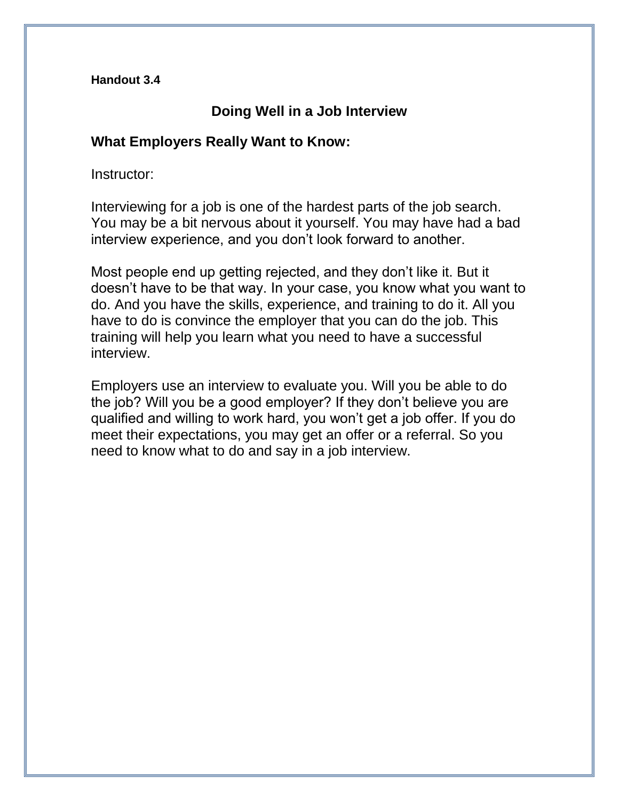**Handout 3.4**

### **Doing Well in a Job Interview**

### **What Employers Really Want to Know:**

Instructor:

Interviewing for a job is one of the hardest parts of the job search. You may be a bit nervous about it yourself. You may have had a bad interview experience, and you don't look forward to another.

Most people end up getting rejected, and they don't like it. But it doesn't have to be that way. In your case, you know what you want to do. And you have the skills, experience, and training to do it. All you have to do is convince the employer that you can do the job. This training will help you learn what you need to have a successful interview.

Employers use an interview to evaluate you. Will you be able to do the job? Will you be a good employer? If they don't believe you are qualified and willing to work hard, you won't get a job offer. If you do meet their expectations, you may get an offer or a referral. So you need to know what to do and say in a job interview.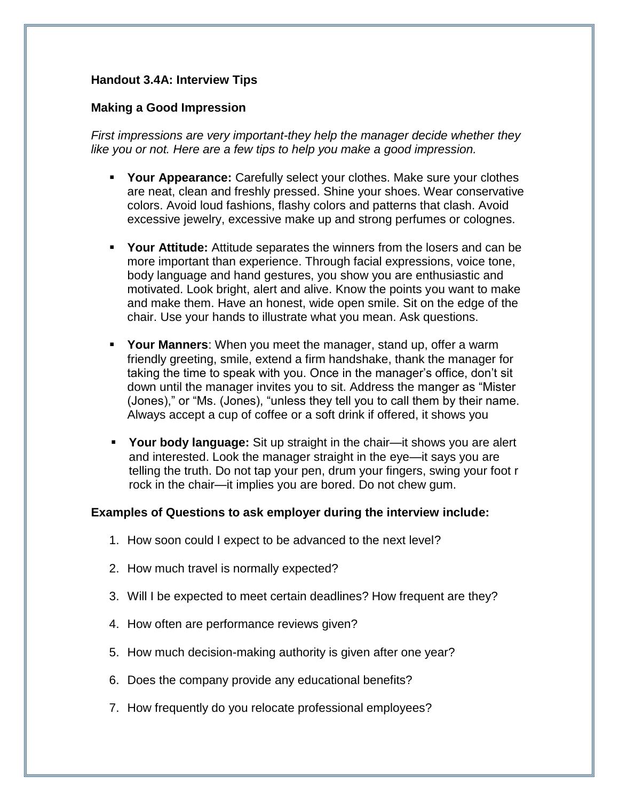### **Handout 3.4A: Interview Tips**

### **Making a Good Impression**

*First impressions are very important-they help the manager decide whether they like you or not. Here are a few tips to help you make a good impression.*

- **Your Appearance:** Carefully select your clothes. Make sure your clothes are neat, clean and freshly pressed. Shine your shoes. Wear conservative colors. Avoid loud fashions, flashy colors and patterns that clash. Avoid excessive jewelry, excessive make up and strong perfumes or colognes.
- **Your Attitude:** Attitude separates the winners from the losers and can be more important than experience. Through facial expressions, voice tone, body language and hand gestures, you show you are enthusiastic and motivated. Look bright, alert and alive. Know the points you want to make and make them. Have an honest, wide open smile. Sit on the edge of the chair. Use your hands to illustrate what you mean. Ask questions.
- **Your Manners**: When you meet the manager, stand up, offer a warm friendly greeting, smile, extend a firm handshake, thank the manager for taking the time to speak with you. Once in the manager's office, don't sit down until the manager invites you to sit. Address the manger as "Mister (Jones)," or "Ms. (Jones), "unless they tell you to call them by their name. Always accept a cup of coffee or a soft drink if offered, it shows you
- **Your body language:** Sit up straight in the chair—it shows you are alert and interested. Look the manager straight in the eye—it says you are telling the truth. Do not tap your pen, drum your fingers, swing your foot r rock in the chair—it implies you are bored. Do not chew gum.

### **Examples of Questions to ask employer during the interview include:**

- 1. How soon could I expect to be advanced to the next level?
- 2. How much travel is normally expected?
- 3. Will I be expected to meet certain deadlines? How frequent are they?
- 4. How often are performance reviews given?
- 5. How much decision-making authority is given after one year?
- 6. Does the company provide any educational benefits?
- 7. How frequently do you relocate professional employees?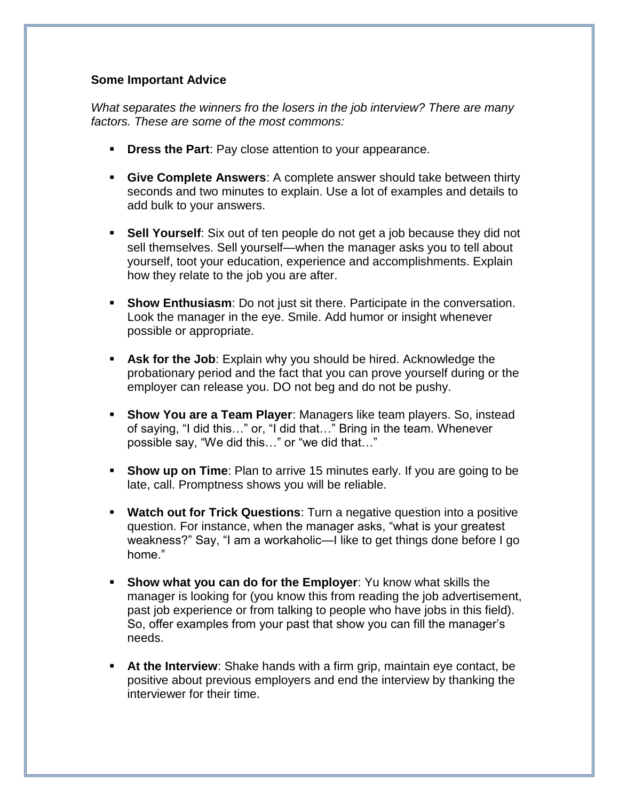### **Some Important Advice**

*What separates the winners fro the losers in the job interview? There are many factors. These are some of the most commons:*

- **Dress the Part**: Pay close attention to your appearance.
- **Give Complete Answers**: A complete answer should take between thirty seconds and two minutes to explain. Use a lot of examples and details to add bulk to your answers.
- **Sell Yourself:** Six out of ten people do not get a job because they did not sell themselves. Sell yourself—when the manager asks you to tell about yourself, toot your education, experience and accomplishments. Explain how they relate to the job you are after.
- **Show Enthusiasm**: Do not just sit there. Participate in the conversation. Look the manager in the eye. Smile. Add humor or insight whenever possible or appropriate.
- **Ask for the Job**: Explain why you should be hired. Acknowledge the probationary period and the fact that you can prove yourself during or the employer can release you. DO not beg and do not be pushy.
- **Show You are a Team Player:** Managers like team players. So, instead of saying, "I did this…" or, "I did that…" Bring in the team. Whenever possible say, "We did this…" or "we did that…"
- **Show up on Time**: Plan to arrive 15 minutes early. If you are going to be late, call. Promptness shows you will be reliable.
- **Watch out for Trick Questions:** Turn a negative question into a positive question. For instance, when the manager asks, "what is your greatest weakness?" Say, "I am a workaholic—I like to get things done before I go home."
- **Show what you can do for the Employer**: Yu know what skills the manager is looking for (you know this from reading the job advertisement, past job experience or from talking to people who have jobs in this field). So, offer examples from your past that show you can fill the manager's needs.
- **At the Interview**: Shake hands with a firm grip, maintain eye contact, be positive about previous employers and end the interview by thanking the interviewer for their time.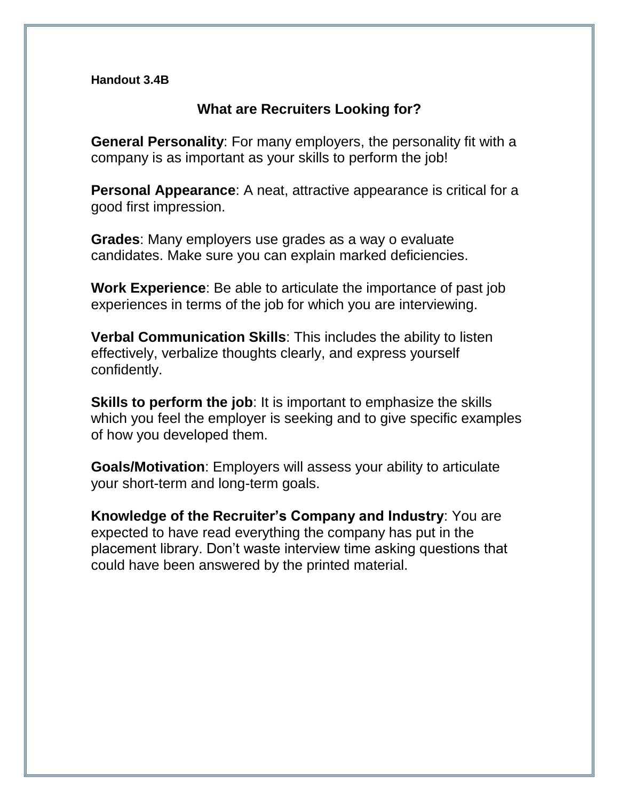### **Handout 3.4B**

### **What are Recruiters Looking for?**

**General Personality**: For many employers, the personality fit with a company is as important as your skills to perform the job!

**Personal Appearance**: A neat, attractive appearance is critical for a good first impression.

**Grades**: Many employers use grades as a way o evaluate candidates. Make sure you can explain marked deficiencies.

**Work Experience**: Be able to articulate the importance of past job experiences in terms of the job for which you are interviewing.

**Verbal Communication Skills**: This includes the ability to listen effectively, verbalize thoughts clearly, and express yourself confidently.

**Skills to perform the job**: It is important to emphasize the skills which you feel the employer is seeking and to give specific examples of how you developed them.

**Goals/Motivation**: Employers will assess your ability to articulate your short-term and long-term goals.

**Knowledge of the Recruiter's Company and Industry**: You are expected to have read everything the company has put in the placement library. Don't waste interview time asking questions that could have been answered by the printed material.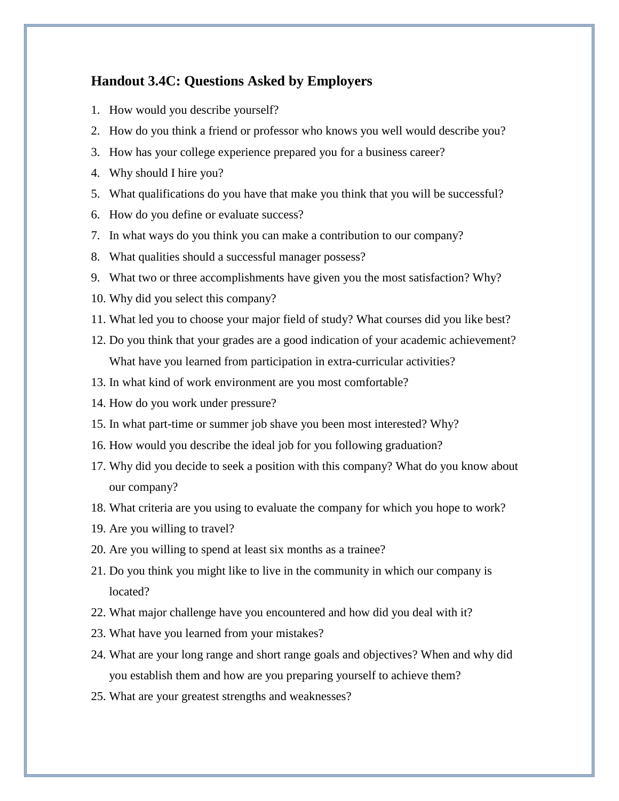### **Handout 3.4C: Questions Asked by Employers**

- 1. How would you describe yourself?
- 2. How do you think a friend or professor who knows you well would describe you?
- 3. How has your college experience prepared you for a business career?
- 4. Why should I hire you?
- 5. What qualifications do you have that make you think that you will be successful?
- 6. How do you define or evaluate success?
- 7. In what ways do you think you can make a contribution to our company?
- 8. What qualities should a successful manager possess?
- 9. What two or three accomplishments have given you the most satisfaction? Why?
- 10. Why did you select this company?
- 11. What led you to choose your major field of study? What courses did you like best?
- 12. Do you think that your grades are a good indication of your academic achievement? What have you learned from participation in extra-curricular activities?
- 13. In what kind of work environment are you most comfortable?
- 14. How do you work under pressure?
- 15. In what part-time or summer job shave you been most interested? Why?
- 16. How would you describe the ideal job for you following graduation?
- 17. Why did you decide to seek a position with this company? What do you know about our company?
- 18. What criteria are you using to evaluate the company for which you hope to work?
- 19. Are you willing to travel?
- 20. Are you willing to spend at least six months as a trainee?
- 21. Do you think you might like to live in the community in which our company is located?
- 22. What major challenge have you encountered and how did you deal with it?
- 23. What have you learned from your mistakes?
- 24. What are your long range and short range goals and objectives? When and why did you establish them and how are you preparing yourself to achieve them?
- 25. What are your greatest strengths and weaknesses?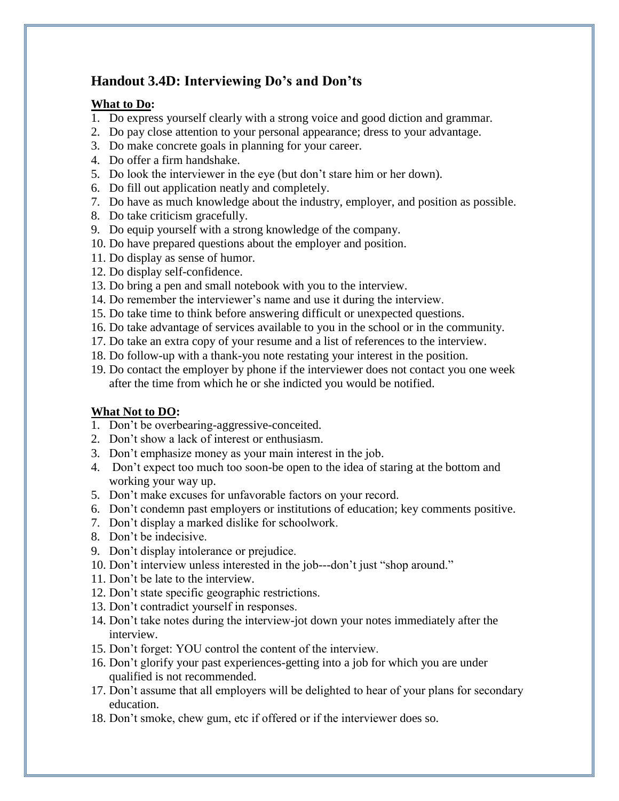### **Handout 3.4D: Interviewing Do's and Don'ts**

### **What to Do:**

- 1. Do express yourself clearly with a strong voice and good diction and grammar.
- 2. Do pay close attention to your personal appearance; dress to your advantage.
- 3. Do make concrete goals in planning for your career.
- 4. Do offer a firm handshake.
- 5. Do look the interviewer in the eye (but don't stare him or her down).
- 6. Do fill out application neatly and completely.
- 7. Do have as much knowledge about the industry, employer, and position as possible.
- 8. Do take criticism gracefully.
- 9. Do equip yourself with a strong knowledge of the company.
- 10. Do have prepared questions about the employer and position.
- 11. Do display as sense of humor.
- 12. Do display self-confidence.
- 13. Do bring a pen and small notebook with you to the interview.
- 14. Do remember the interviewer's name and use it during the interview.
- 15. Do take time to think before answering difficult or unexpected questions.
- 16. Do take advantage of services available to you in the school or in the community.
- 17. Do take an extra copy of your resume and a list of references to the interview.
- 18. Do follow-up with a thank-you note restating your interest in the position.
- 19. Do contact the employer by phone if the interviewer does not contact you one week after the time from which he or she indicted you would be notified.

### **What Not to DO:**

- 1. Don't be overbearing-aggressive-conceited.
- 2. Don't show a lack of interest or enthusiasm.
- 3. Don't emphasize money as your main interest in the job.
- 4. Don't expect too much too soon-be open to the idea of staring at the bottom and working your way up.
- 5. Don't make excuses for unfavorable factors on your record.
- 6. Don't condemn past employers or institutions of education; key comments positive.
- 7. Don't display a marked dislike for schoolwork.
- 8. Don't be indecisive.
- 9. Don't display intolerance or prejudice.
- 10. Don't interview unless interested in the job---don't just "shop around."
- 11. Don't be late to the interview.
- 12. Don't state specific geographic restrictions.
- 13. Don't contradict yourself in responses.
- 14. Don't take notes during the interview-jot down your notes immediately after the interview.
- 15. Don't forget: YOU control the content of the interview.
- 16. Don't glorify your past experiences-getting into a job for which you are under qualified is not recommended.
- 17. Don't assume that all employers will be delighted to hear of your plans for secondary education.
- 18. Don't smoke, chew gum, etc if offered or if the interviewer does so.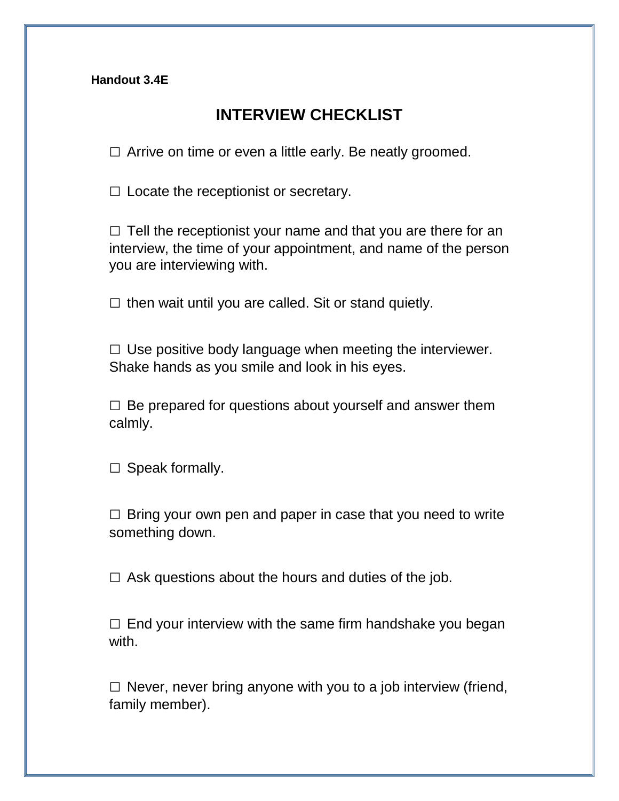**Handout 3.4E**

# **INTERVIEW CHECKLIST**

 $\Box$  Arrive on time or even a little early. Be neatly groomed.

 $\square$  Locate the receptionist or secretary.

 $\Box$  Tell the receptionist your name and that you are there for an interview, the time of your appointment, and name of the person you are interviewing with.

 $\square$  then wait until you are called. Sit or stand quietly.

 $\Box$  Use positive body language when meeting the interviewer. Shake hands as you smile and look in his eyes.

 $\square$  Be prepared for questions about yourself and answer them calmly.

 $\square$  Speak formally.

 $\Box$  Bring your own pen and paper in case that you need to write something down.

 $\Box$  Ask questions about the hours and duties of the job.

 $\Box$  End your interview with the same firm handshake you began with.

 $\square$  Never, never bring anyone with you to a job interview (friend, family member).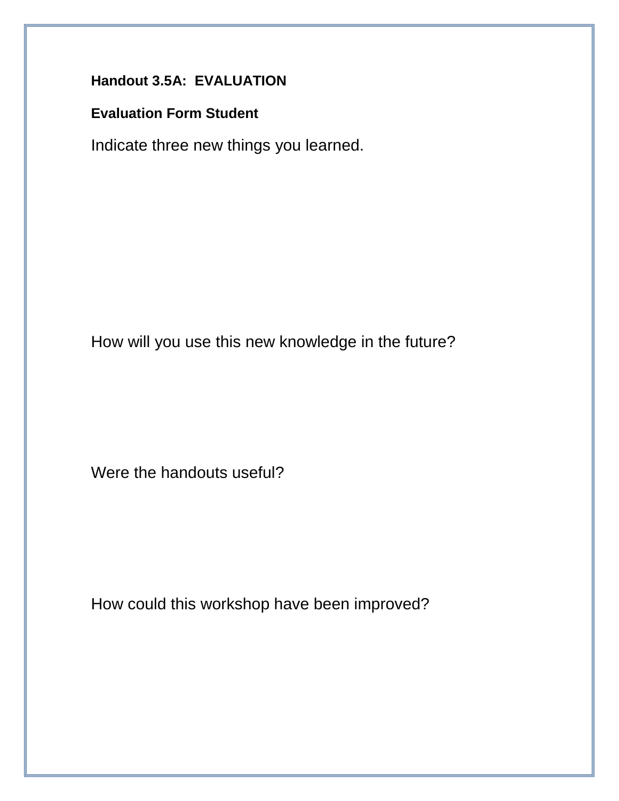# **Handout 3.5A: EVALUATION**

### **Evaluation Form Student**

Indicate three new things you learned.

How will you use this new knowledge in the future?

Were the handouts useful?

How could this workshop have been improved?